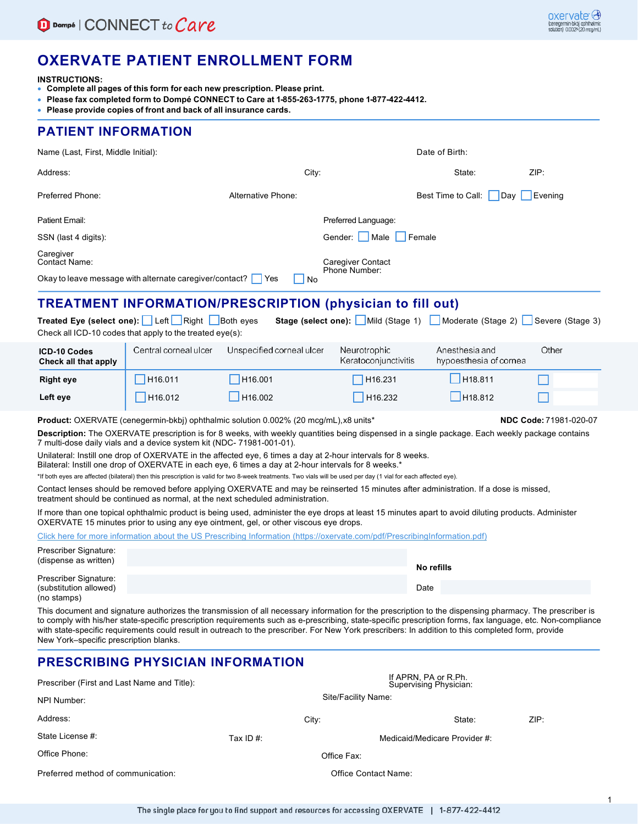## **OXERVATE PATIENT ENROLLMENT FORM**

**INSTRUCTIONS:**

- **Complete all pages of this form for each new prescription. Please print.**
- **Please fax completed form to Dompé CONNECT to Care at 1-855-263-1775, phone 1-877-422-4412.**
- **Please provide copies of front and back of all insurance cards.**

### **PATIENT INFORMATION**

| Name (Last, First, Middle Initial):                       |                                                                                                            |                                                                   | Date of Birth:                                        |                                          |                  |  |
|-----------------------------------------------------------|------------------------------------------------------------------------------------------------------------|-------------------------------------------------------------------|-------------------------------------------------------|------------------------------------------|------------------|--|
| Address:                                                  | City:                                                                                                      |                                                                   |                                                       | State:                                   | ZIP:             |  |
| Preferred Phone:                                          |                                                                                                            | Alternative Phone:                                                |                                                       | Best Time to Call:<br>Dav                | Evening          |  |
| Patient Email:                                            |                                                                                                            |                                                                   | Preferred Language:                                   |                                          |                  |  |
| SSN (last 4 digits):<br>Caregiver<br><b>Contact Name:</b> |                                                                                                            |                                                                   | Female<br>Gender:<br>Male                             |                                          |                  |  |
|                                                           |                                                                                                            |                                                                   | <b>Caregiver Contact</b><br><b>Phone Number:</b>      |                                          |                  |  |
|                                                           | Okay to leave message with alternate caregiver/contact?                                                    | Yes<br>N <sub>o</sub>                                             |                                                       |                                          |                  |  |
|                                                           |                                                                                                            | <b>TREATMENT INFORMATION/PRESCRIPTION (physician to fill out)</b> |                                                       |                                          |                  |  |
|                                                           | Treated Eye (select one): Left Right Both eyes<br>Check all ICD-10 codes that apply to the treated eye(s): |                                                                   | Stage (select one): Mild (Stage 1) Moderate (Stage 2) |                                          | Severe (Stage 3) |  |
| <b>ICD-10 Codes</b><br>Check all that annly               | Central corneal ulcer                                                                                      | Unspecified corneal ulcer                                         | Neurotrophic<br>Keratoconiunctivitis                  | Anesthesia and<br>hypoesthesia of cornea | Other            |  |

| Check all that apply |                     |                     | Keratoconjunctivitis | hypoesthesia of cornea |  |
|----------------------|---------------------|---------------------|----------------------|------------------------|--|
| <b>Right eye</b>     | H <sub>16.011</sub> | H <sub>16.001</sub> | H <sub>16.231</sub>  | H18.811                |  |
| Left eye             | H <sub>16.012</sub> | H <sub>16.002</sub> | H <sub>16.232</sub>  | H18.812                |  |

**Product:** OXERVATE (cenegermin-bkbj) ophthalmic solution 0.002% (20 mcg/mL),x8 units\* **NDC Code:** 71981-020-07

**Description:** The OXERVATE prescription is for 8 weeks, with weekly quantities being dispensed in a single package. Each weekly package contains 7 multi-dose daily vials and a device system kit (NDC- 71981-001-01).

Unilateral: Instill one drop of OXERVATE in the affected eye, 6 times a day at 2-hour intervals for 8 weeks.

Bilateral: Instill one drop of OXERVATE in each eye, 6 times a day at 2-hour intervals for 8 weeks.\*

\*If both eyes are affected (bilateral) then this prescription is valid for two 8-week treatments. Two vials will be used per day (1 vial for each affected eye).

Contact lenses should be removed before applying OXERVATE and may be reinserted 15 minutes after administration. If a dose is missed, treatment should be continued as normal, at the next scheduled administration.

If more than one topical ophthalmic product is being used, administer the eye drops at least 15 minutes apart to avoid diluting products. Administer OXERVATE 15 minutes prior to using any eye ointment, gel, or other viscous eye drops.

Click here for more information about the US Prescribing Information (https://oxervate.com/pdf/PrescribingInformation.pdf)

| Prescriber Signature:                           |            |  |
|-------------------------------------------------|------------|--|
| (dispense as written)                           | No refills |  |
| Prescriber Signature:<br>(substitution allowed) | Date       |  |
| (no stamps)                                     |            |  |

This document and signature authorizes the transmission of all necessary information for the prescription to the dispensing pharmacy. The prescriber is to comply with his/her state-specific prescription requirements such as e-prescribing, state-specific prescription forms, fax language, etc. Non-compliance with state-specific requirements could result in outreach to the prescriber. For New York prescribers: In addition to this completed form, provide New York–specific prescription blanks.

### **PRESCRIBING PHYSICIAN INFORMATION**

| Prescriber (First and Last Name and Title): | If APRN, PA or R.Ph.<br>Supervising Physician: |                               |        |      |
|---------------------------------------------|------------------------------------------------|-------------------------------|--------|------|
| NPI Number:                                 | Site/Facility Name:                            |                               |        |      |
| Address:                                    | City:                                          |                               | State: | ZIP: |
| State License #:                            | Tax ID $#$ :                                   | Medicaid/Medicare Provider #: |        |      |
| Office Phone:                               | Office Fax:                                    |                               |        |      |
| Preferred method of communication:          | Office Contact Name:                           |                               |        |      |